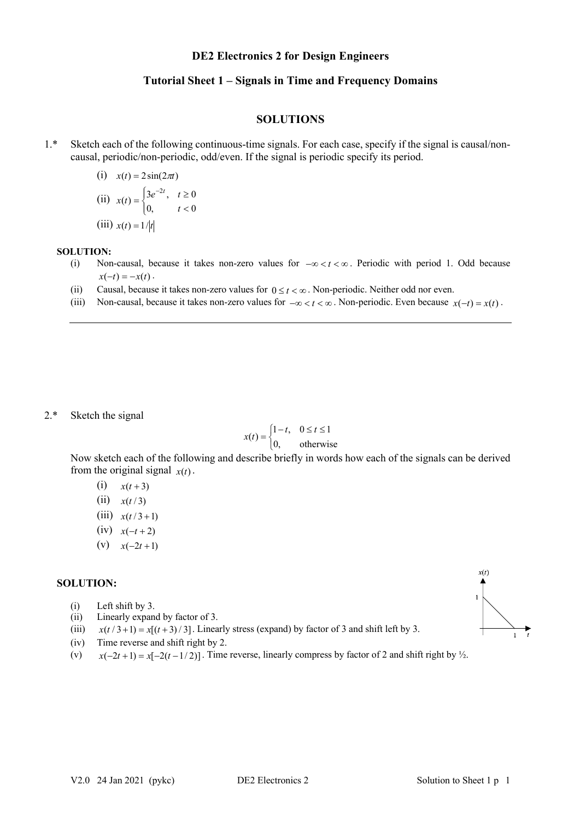## **DE2 Electronics 2 for Design Engineers**

# **Tutorial Sheet 1 – Signals in Time and Frequency Domains**

### **SOLUTIONS**

1.\* Sketch each of the following continuous-time signals. For each case, specify if the signal is causal/noncausal, periodic/non-periodic, odd/even. If the signal is periodic specify its period.

(i) 
$$
x(t) = 2\sin(2\pi t)
$$
  
\n(ii)  $x(t) = \begin{cases} 3e^{-2t}, & t \ge 0 \\ 0, & t < 0 \end{cases}$   
\n(iii)  $x(t) = 1/|t|$ 

#### **SOLUTION:**

- (i) Non-causal, because it takes non-zero values for  $-\infty < t < \infty$ . Periodic with period 1. Odd because  $x(-t) = -x(t)$ .
- (ii) Causal, because it takes non-zero values for  $0 \le t < \infty$ . Non-periodic. Neither odd nor even.
- (iii) Non-causal, because it takes non-zero values for  $-\infty < t < \infty$ . Non-periodic. Even because  $x(-t) = x(t)$ .

2.\* Sketch the signal

$$
x(t) = \begin{cases} 1-t, & 0 \le t \le 1 \\ 0, & \text{otherwise} \end{cases}
$$

Now sketch each of the following and describe briefly in words how each of the signals can be derived from the original signal  $x(t)$ .

- (i)  $x(t+3)$
- $(iii)$   $x(t/3)$
- $(iii)$   $x(t/3+1)$
- $(iv)$   $x(-t+2)$
- (v)  $x(-2t+1)$

## **SOLUTION:**

- (i) Left shift by 3.
- (ii) Linearly expand by factor of 3.
- (iii)  $x(t/3+1) = x[(t+3)/3]$ . Linearly stress (expand) by factor of 3 and shift left by 3.
- (iv) Time reverse and shift right by 2.
- (v)  $x(-2t+1) = x[-2(t-1/2)]$ . Time reverse, linearly compress by factor of 2 and shift right by  $\frac{1}{2}$ .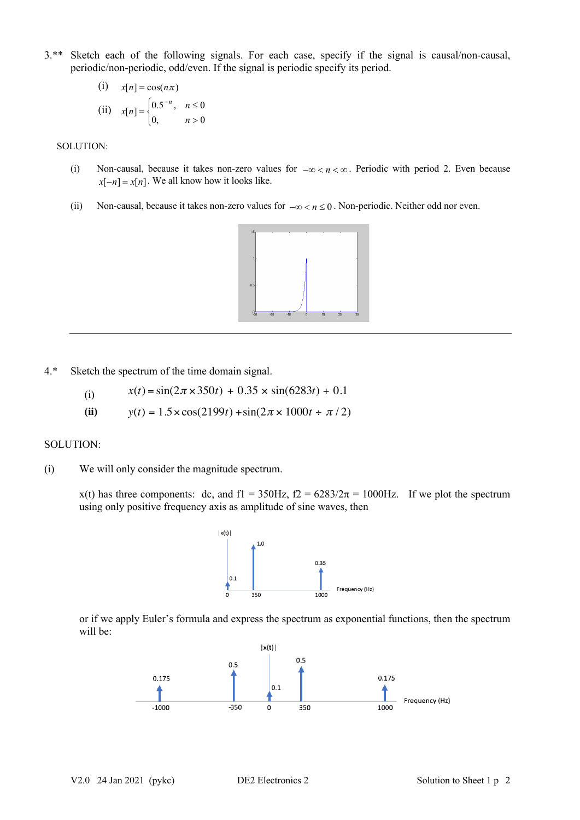3.\*\* Sketch each of the following signals. For each case, specify if the signal is causal/non-causal, periodic/non-periodic, odd/even. If the signal is periodic specify its period.

(i) 
$$
x[n] = \cos(n\pi)
$$
  
\n(ii)  $x[n] = \begin{cases} 0.5^{-n}, & n \le 0 \\ 0, & n > 0 \end{cases}$ 

#### SOLUTION:

- (i) Non-causal, because it takes non-zero values for  $-\infty < n < \infty$ . Periodic with period 2. Even because  $x[-n] = x[n]$ . We all know how it looks like.
- (ii) Non-causal, because it takes non-zero values for  $-\infty < n \leq 0$ . Non-periodic. Neither odd nor even.



4.\* Sketch the spectrum of the time domain signal.

(i) 
$$
x(t) = \sin(2\pi \times 350t) + 0.35 \times \sin(6283t) + 0.1
$$

**(ii)**  $y(t) = 1.5 \times \cos(2199t) + \sin(2\pi \times 1000t + \pi/2)$ 

## SOLUTION:

(i) We will only consider the magnitude spectrum.

x(t) has three components: dc, and f1 = 350Hz, f2 =  $6283/2\pi = 1000$ Hz. If we plot the spectrum using only positive frequency axis as amplitude of sine waves, then



or if we apply Euler's formula and express the spectrum as exponential functions, then the spectrum will be: